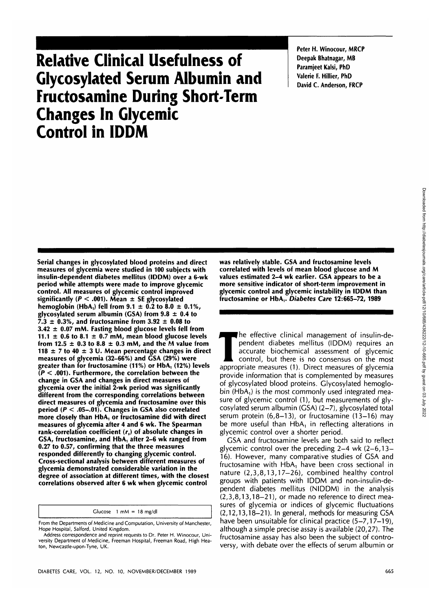# **Relative Clinical Usefulness of Glycosylated Serum Albumin and Fructosamine During Short-Term Changes In Glycemic Control in IDDM**

**Peter H. Winocour, MRCP Deepak Bhatnagar, MB Paramjeet Kalsi, PhD Valerie F. Hillier, PhD David C. Anderson, FRCP**

**Serial changes in glycosylated blood proteins and direct measures of glycemia were studied in 100 subjects with insulin-dependent diabetes mellitus (IDDM) over** a **6-wk period while attempts were made to improve glycemic control. All measures of glycemic control improved significantly (P < .001). Mean ± SE glycosylated hemoglobin** (HbA<sub>1</sub>) fell from  $9.1 \pm 0.2$  to  $8.0 \pm 0.1\%$ , **glycosylated serum albumin (GSA) from 9.8 ± 0.4 to**  $7.3 \pm 0.3$ %, and fructosamine from  $3.92 \pm 0.08$  to **3.42 ± 0.07 mM. Fasting blood glucose levels fell from** 11.1  $\pm$  0.6 to 8.1  $\pm$  0.7 mM, mean blood glucose levels from 12.5  $\pm$  0.3 to 8.8  $\pm$  0.3 mM, and the M value from **118 ± 7 to 40 ± 3 U. Mean percentage changes in direct measures of glycemia (32-66%) and GSA (29%) were greater than for fructosamine (11%) or HbA, (12%) levels (P < .001). Furthermore, the correlation between the change in GSA and changes in direct measures of glycemia over the initial 2-wk period was significantly different from the corresponding correlations between direct measures of glycemia and fructosamine over this period (P < .05-.01). Changes in GSA also correlated more closely than HbA, or fructosamine did with direct measures of glycemia after 4 and 6 wk. The Spearman** rank-correlation coefficient (r<sub>s</sub>) of absolute changes in **GSA, fructosamine, and HbA, after 2-6 wk ranged from 0.27 to 0.57, confirming that the three measures responded differently to changing glycemic control. Cross-sectional analysis between different measures of glycemia demonstrated considerable variation in the degree of association at different times, with the closest correlations observed after 6 wk when glycemic control**

Glucose  $1 \text{ mM} = 18 \text{ mg/dl}$ 

**was relatively stable. GSA and fructosamine levels correlated with levels of mean blood glucose and M values estimated 2-4 wk earlier. GSA appears to be a more sensitive indicator of short-term improvement in glycemic control and glycemic instability in IDDM than fructosamine or HbA,. Diabetes Care 12:665-72,1989**

The effective clinical management of insulin-dependent diabetes mellitus (IDDM) requires an accurate biochemical assessment of glycemic control, but there is no consensus on the most appropriate measures (1) Direct measure pendent diabetes mellitus (IDDM) requires an accurate biochemical assessment of glycemic control, but there is no consensus on the most appropriate measures (1). Direct measures of glycemia provide information that is complemented by measures of glycosylated blood proteins. Glycosylated hemoglobin (HbA $<sub>1</sub>$ ) is the most commonly used integrated mea-</sub> sure of glycemic control (1), but measurements of glycosylated serum albumin (GSA) (2-7), glycosylated total serum protein  $(6,8-13)$ , or fructosamine  $(13-16)$  may be more useful than  $HbA_1$  in reflecting alterations in glycemic control over a shorter period.

GSA and fructosamine levels are both said to reflect glycemic control over the preceding 2-4 wk (2-6,13- 16). However, many comparative studies of GSA and fructosamine with  $HbA_1$  have been cross sectional in nature (2,3,8,13,17-26), combined healthy control groups with patients with IDDM and non-insulin-dependent diabetes mellitus (NIDDM) in the analysis  $(2,3,8,13,18-21)$ , or made no reference to direct measures of glycemia or indices of glycemic fluctuations (2,12,13,18-21). In general, methods for measuring GSA have been unsuitable for clinical practice (5–7,17–19), although a simple precise assay is available (20,27). The fructosamine assay has also been the subject of controversy, with debate over the effects of serum albumin or

From the Departments of Medicine and Computation, University of Manchester, Hope Hospital, Salford, United Kingdom.

Address correspondence and reprint requests to Dr. Peter H. Winocour, University Department of Medicine, Freeman Hospital, Freeman Road, High Heaton, Newcastle-upon-Tyne, UK.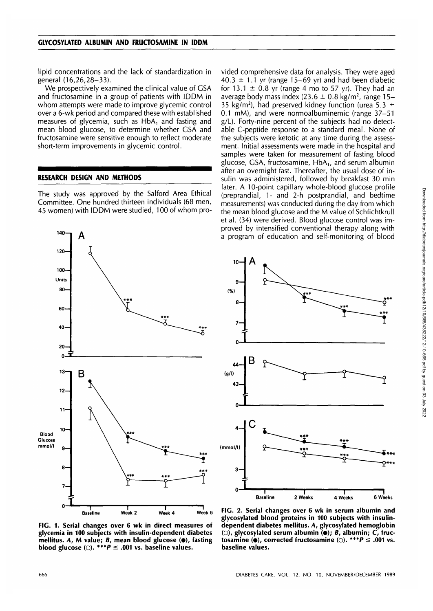lipid concentrations and the lack of standardization in general (16,26,28-33).

We prospectively examined the clinical value of GSA and fructosamine in a group of patients with IDDM in whom attempts were made to improve glycemic control over a 6-wk period and compared these with established measures of glycemia, such as HbA, and fasting and mean blood glucose, to determine whether GSA and fructosamine were sensitive enough to reflect moderate short-term improvements in glycemic control.

#### **RESEARCH DESIGN AND METHODS**

The study was approved by the Salford Area Ethical Committee. One hundred thirteen individuals (68 men, 45 women) with IDDM were studied, 100 of whom pro-



vided comprehensive data for analysis. They were aged  $40.3 \pm 1.1$  yr (range 15–69 yr) and had been diabetic for 13.1  $\pm$  0.8 yr (range 4 mo to 57 yr). They had an average body mass index (23.6  $\pm$  0.8 kg/m<sup>2</sup>, range 15– 35 kg/m<sup>2</sup>), had preserved kidney function (urea 5.3  $\pm$ 0.1 mM), and were normoalbuminemic (range 37-51 g/L). Forty-nine percent of the subjects had no detectable C-peptide response to a standard meal. None of the subjects were ketotic at any time during the assessment. Initial assessments were made in the hospital and samples were taken for measurement of fasting blood glucose, GSA, fructosamine, HbA,, and serum albumin after an overnight fast. Thereafter, the usual dose of insulin was administered, followed by breakfast 30 min later. A 10-point capillary whole-blood glucose profile (preprandial, 1- and 2-h postprandial, and bedtime measurements) was conducted during the day from which the mean blood glucose and the M value of Schlichtkrull et al. (34) were derived. Blood glucose control was improved by intensified conventional therapy along with a program of education and self-monitoring of blood



**FIG. 1. Serial changes over 6 wk in direct measures of glycemia in 100 subjects with insulin-dependent diabetes mellitus. A, M value; B, mean blood glucose (•), fasting blood glucose** ( $\bigcirc$ ). \*\*\**P*  $\le$  .001 vs. baseline values.

**FIG. 2. Serial changes over 6 wk in serum albumin and glycosylated blood proteins in 100 subjects with insulindependent diabetes mellitus. A, glycosylated hemoglobin** (O), glycosylated serum albumin ( $\bullet$ ); *B*, albumin; *C*, fruc**tosamine (** $\bullet$ **), corrected fructosamine (** $\circ$ **). \*\*\*P**  $\leq$  .001 vs. **baseline values.**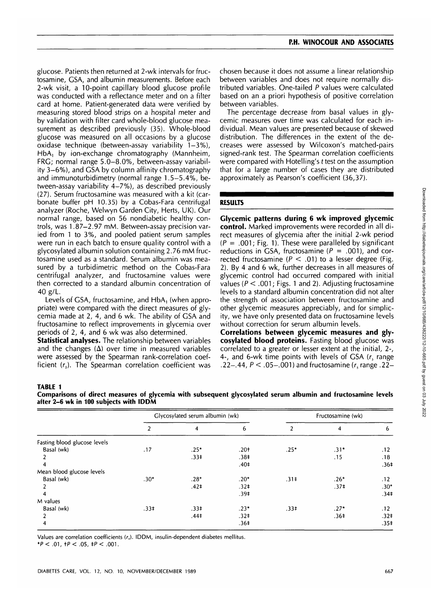glucose. Patients then returned at 2-wk intervals for fructosamine, GSA, and albumin measurements. Before each 2-wk visit, a 10-point capillary blood glucose profile was conducted with a reflectance meter and on a filter card at home. Patient-generated data were verified by measuring stored blood strips on a hospital meter and by validation with filter card whole-blood glucose measurement as described previously (35). Whole-blood glucose was measured on all occasions by a glucose oxidase technique (between-assay variability 1-3%), HbA, by ion-exchange chromatography (Mannheim, FRG; normal range 5.0-8.0%, between-assay variability 3-6%), and GSA by column affinity chromatography and immunoturbidimetry (normal range 1.5-5.4%, between-assay variability 4-7%), as described previously (27). Serum fructosamine was measured with a kit (carbonate buffer pH 10.35) by a Cobas-Fara centrifugal analyzer (Roche, Welwyn Garden City, Herts, UK). Our normal range, based on 56 nondiabetic healthy controls, was 1.87-2.97 mM. Between-assay precision varied from 1 to 3%, and pooled patient serum samples were run in each batch to ensure quality control with a glycosylated albumin solution containing 2.76 mM fructosamine used as a standard. Serum albumin was measured by a turbidimetric method on the Cobas-Fara centrifugal analyzer, and fructosamine values were then corrected to a standard albumin concentration of 40 g/L.

Levels of GSA, fructosamine, and HbA, (when appropriate) were compared with the direct measures of glycemia made at 2, 4, and 6 wk. The ability of GSA and fructosamine to reflect improvements in glycemia over periods of 2, 4, and 6 wk was also determined.

**Statistical analyses.** The relationship between variables and the changes  $(\Delta)$  over time in measured variables were assessed by the Spearman rank-correlation coefficient  $(r<sub>s</sub>)$ . The Spearman correlation coefficient was chosen because it does not assume a linear relationship between variables and does not require normally distributed variables. One-tailed P values were calculated based on an a priori hypothesis of positive correlation between variables.

The percentage decrease from basal values in glycemic measures over time was calculated for each individual. Mean values are presented because of skewed distribution. The differences in the extent of the decreases were assessed by Wilcoxon's matched-pairs signed-rank test. The Spearman correlation coefficients were compared with Hotelling's t test on the assumption that for a large number of cases they are distributed approximately as Pearson's coefficient (36,37).

## **RESULTS**

**Glycemic patterns during 6 wk improved glycemic control.** Marked improvements were recorded in all direct measures of glycemia after the initial 2-wk period  $(P = .001;$  Fig. 1). These were paralleled by significant reductions in GSA, fructosamine ( $P = .001$ ), and corrected fructosamine ( $P < .01$ ) to a lesser degree (Fig. 2). By 4 and 6 wk, further decreases in all measures of glycemic control had occurred compared with initial values ( $P < .001$ ; Figs. 1 and 2). Adjusting fructosamine levels to a standard albumin concentration did not alter the strength of association between fructosamine and other glycemic measures appreciably, and for simplicity, we have only presented data on fructosamine levels without correction for serum albumin levels.

**Correlations between glycemic measures and glycosylated blood proteins.** Fasting blood glucose was correlated to a greater or lesser extent at the initial, 2-, 4-, and 6-wk time points with levels of GSA  $(r_s)$  range .22–.44,  $P < .05-0.001$ ) and fructosamine (r, range .22–

#### **TABLE 1**

| Comparisons of direct measures of glycemia with subsequent glycosylated serum albumin and fructosamine levels |  |  |  |
|---------------------------------------------------------------------------------------------------------------|--|--|--|
| after 2–6 wk in 100 subiects with IDDM                                                                        |  |  |  |

|                              | Glycosylated serum albumin (wk) |                  |                  | Fructosamine (wk) |                  |                  |
|------------------------------|---------------------------------|------------------|------------------|-------------------|------------------|------------------|
|                              | 2                               | 4                | 6                | 2                 | 4                | 6                |
| Fasting blood glucose levels |                                 |                  |                  |                   |                  |                  |
| Basal (wk)                   | .17                             | $.25*$           | $.20+$           | $.25*$            | $.31*$           | .12              |
|                              |                                 | $.33+$           | .38 <sup>‡</sup> |                   | .15              | .18              |
|                              |                                 |                  | .40 <sup>‡</sup> |                   |                  | .36 <sup>‡</sup> |
| Mean blood glucose levels    |                                 |                  |                  |                   |                  |                  |
| Basal (wk)                   | $.30*$                          | $.28*$           | $.20*$           | $.31 \pm$         | $.26*$           | .12              |
|                              |                                 | .42 <sup>†</sup> | .32 <sup>†</sup> |                   | .37 <sup>‡</sup> | $.30*$           |
|                              |                                 |                  | .39 <sup>†</sup> |                   |                  | .34 <sup>‡</sup> |
| M values                     |                                 |                  |                  |                   |                  |                  |
| Basal (wk)                   | $.33+$                          | $.33+$           | $.23*$           | $.33+$            | $.27*$           | .12              |
| $\mathcal{P}$                |                                 | .44 <sup>‡</sup> | .32 <sup>†</sup> |                   | .36 <sup>‡</sup> | .32 <sup>‡</sup> |
| 4                            |                                 |                  | .36 <sup>‡</sup> |                   |                  | .35 <sup>‡</sup> |

Values are correlation coefficients  $(r<sub>s</sub>)$ . IDDM, insulin-dependent diabetes mellitus. \* $P < .01$ ,  $+P < .05$ ,  $+P < .001$ .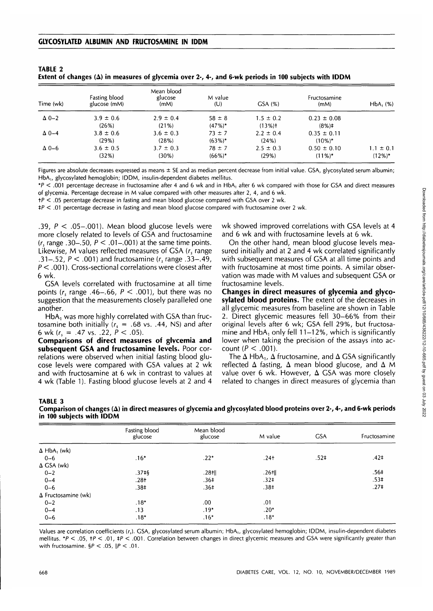**TABLE 2**

| Extent of changes ( $\Delta$ ) in measures of glycemia over 2-, 4-, and 6-wk periods in 100 subjects with IDDM |                    |                       |         |            |              |  |  |
|----------------------------------------------------------------------------------------------------------------|--------------------|-----------------------|---------|------------|--------------|--|--|
|                                                                                                                | Fasting blood      | Mean blood<br>glucose | M value |            | Fructosamine |  |  |
| $\mathbf{T}$ ina a $(1, 1, 1)$                                                                                 | $-1.7 - 2.6 - 1.6$ | $1 - 11$              | (11)    | $C0$ $(0)$ | $1 - 11$     |  |  |

| Time (wk)      | Fasting blood<br>glucose (mM) | glucose<br>(mM) | M value<br>(U) | GSA(%)        | Fructosamine<br>(mM) | $HbA_1$ (%)   |
|----------------|-------------------------------|-----------------|----------------|---------------|----------------------|---------------|
| $\Delta 0-2$   | $3.9 \pm 0.6$                 | $2.9 \pm 0.4$   | $58 \pm 8$     | $1.5 \pm 0.2$ | $0.23 \pm 0.08$      |               |
|                | (26%)                         | (21%)           | $(47%)$ *      | $(13%)$ +     | $(8\%)\ddagger$      |               |
| $\Delta$ 0-4   | $3.8 \pm 0.6$                 | $3.6 \pm 0.3$   | $73 \pm 7$     | $2.2 \pm 0.4$ | $0.35 \pm 0.11$      |               |
|                | (29%)                         | (28%)           | $(63\%)*$      | (24%)         | $(10\%)*$            |               |
| $\Delta 0 - 6$ | $3.6 \pm 0.5$                 | $3.7 \pm 0.3$   | $78 \pm 7$     | $2.5 \pm 0.3$ | $0.50 \pm 0.10$      | $1.1 \pm 0.1$ |
|                | (32%)                         | $(30\%)$        | $(66\%)*$      | (29%)         | $(11\%)^*$           | $(12\%)^*$    |

Figures are absolute decreases expressed as means  $\pm$  SE and as median percent decrease from initial value. GSA, glycosylated serum albumin; HbA,, glycosylated hemoglobin; IDDM, insulin-dependent diabetes mellitus.

\*P < .001 percentage decrease in fructosamine after 4 and 6 wk and in HbA, after 6 wk compared with those for GSA and direct measures of glycemia. Percentage decrease in M value compared with other measures after 2, 4, and 6 wk.

+P < .05 percentage decrease in fasting and mean blood glucose compared with GSA over 2 wk.

 $*P < .01$  percentage decrease in fasting and mean blood glucose compared with fructosamine over 2 wk.

.39,  $P < .05-.001$ ). Mean blood glucose levels were more closely related to levels of GSA and fructosamine  $(r_s$  range .30–.50,  $P < .01$ –.001) at the same time points. Likewise, M values reflected measures of  $GSA$  ( $r_s$  range .31–.52,  $P < .001$ ) and fructosamine (r, range .33–.49, P < .001). Cross-sectional correlations were closest after 6 wk.

GSA levels correlated with fructosamine at all time points ( $r_s$  range .46-.66,  $P < .001$ ), but there was no suggestion that the measurements closely paralleled one another.

HbA, was more highly correlated with GSA than fructosamine both initially  $(r<sub>s</sub> = .68 \text{ vs. } .44, \text{ NS})$  and after 6 wk ( $r_s = .47$  vs. .22,  $P < .05$ ).

**Comparisons of direct measures of glvcemia and subsequent GSA and fructosamine levels.** Poor correlations were observed when initial fasting blood glucose levels were compared with GSA values at 2 wk and with fructosamine at 6 wk in contrast to values at 4 wk (Table 1). Fasting blood glucose levels at 2 and 4

wk showed improved correlations with GSA levels at 4 and 6 wk and with fructosamine levels at 6 wk.

On the other hand, mean blood glucose levels measured initially and at 2 and 4 wk correlated significantly with subsequent measures of GSA at all time points and with fructosamine at most time points. A similar observation was made with M values and subsequent GSA or fructosamine levels.

**Changes in direct measures of glycemia and glyco**svlated blood proteins. The extent of the decreases in all glycemic measures from baseline are shown in Table 2. Direct glycemic measures fell 30-66% from their original levels after 6 wk; GSA fell 29%, but fructosamine and HbA, only fell 11-12%, which is significantly lower when taking the precision of the assays into account ( $P < .001$ ).

The  $\Delta$  HbA<sub>1</sub>,  $\Delta$  fructosamine, and  $\Delta$  GSA significantly reflected  $\Delta$  fasting,  $\Delta$  mean blood glucose, and  $\Delta$  M value over 6 wk. However,  $\Delta$  GSA was more closely related to changes in direct measures of glycemia than

#### **TABLE 3 Comparison of changes (A) in direct measures of glycemia and glycosylated blood proteins over 2-, 4-, and 6-wk periods in 100 subjects with IDDM**

|                                | Fasting blood<br>glucose | Mean blood<br>glucose | M value          | <b>GSA</b>       | Fructosamine     |
|--------------------------------|--------------------------|-----------------------|------------------|------------------|------------------|
| $\Delta$ HbA <sub>1</sub> (wk) |                          |                       |                  |                  |                  |
| $0 - 6$                        | $.16*$                   | $.22*$                | $.24+$           | .52 <sup>†</sup> | .42 <sup>†</sup> |
| $\Delta$ GSA (wk)              |                          |                       |                  |                  |                  |
| $0 - 2$                        | $.37 +$ §                | $.28$ tll             | $.26$ tll        |                  | .56 <sup>‡</sup> |
| $0 - 4$                        | $.28+$                   | .36 <sup>‡</sup>      | .32 <sup>‡</sup> |                  | $.53+$           |
| $0 - 6$                        | .38 <sup>†</sup>         | .36 <sup>‡</sup>      | .38 <sup>‡</sup> |                  | .27 <sup>†</sup> |
| $\Delta$ Fructosamine (wk)     |                          |                       |                  |                  |                  |
| $0 - 2$                        | $.18*$                   | .00.                  | .01              |                  |                  |
| $0 - 4$                        | .13                      | $.19*$                | $.20*$           |                  |                  |
| $0 - 6$                        | $.18*$                   | $.16*$                | $.18*$           |                  |                  |

Values are correlation coefficients (r<sub>s</sub>). GSA, glycosylated serum albumin; HbA<sub>1</sub>, glycosylated hemoglobin; IDDM, insulin-dependent diabetes mellitus.  $*P < .05$ ,  $+P < .01$ ,  $+P < .001$ . Correlation between changes in direct glycemic measures and GSA were significantly greater than with fructosamine.  $\frac{6}{5}P < .05$ ,  $\|P < .01$ .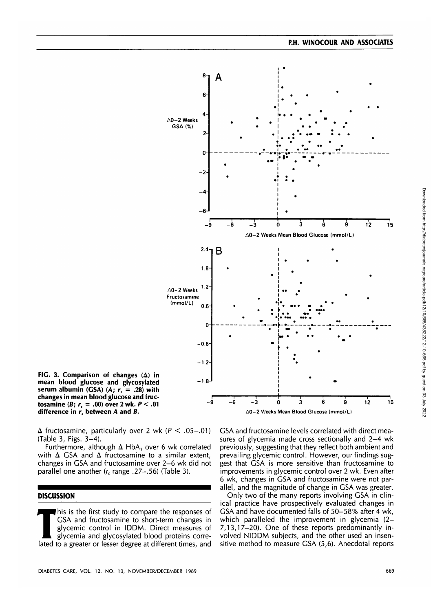

**FIG. 3. Comparison of changes (A) in mean blood glucose and glycosylated** serum albumin (GSA)  $(A; r_s = .28)$  with **changes in mean blood glucose and fructosamine (B;**  $r_s = .00$ **) over 2 wk.**  $P < .01$ difference in  $r_s$  between A and B.

 $\Delta$  fructosamine, particularly over 2 wk ( $P < .05-.01$ ) (Table 3, Figs. 3-4).

Furthermore, although  $\Delta$  HbA<sub>1</sub> over 6 wk correlated with  $\Delta$  GSA and  $\Delta$  fructosamine to a similar extent, changes in GSA and fructosamine over 2-6 wk did not parallel one another  $(r_s$  range .27-.56) (Table 3).

## **DISCUSSION**

This is the first study to compare the responses of<br>GSA and fructosamine to short-term changes in<br>glycemic control in IDDM. Direct measures of<br>glycemia and glycosylated blood proteins corre-<br>lated to a greater or lesser de GSA and fructosamine to short-term changes in glycemic control in IDDM. Direct measures of glycemia and glycosylated blood proteins correlated to a greater or lesser degree at different times, and GSA and fructosamine levels correlated with direct measures of glycemia made cross sectionally and 2-4 wk previously, suggesting that they reflect both ambient and prevailing glycemic control. However, our findings suggest that GSA is more sensitive than fructosamine to improvements in glycemic control over 2 wk. Even after 6 wk, changes in GSA and fructosamine were not parallel, and the magnitude of change in GSA was greater.

Only two of the many reports involving GSA in clinical practice have prospectively evaluated changes in GSA and have documented falls of 50-58% after 4 wk, which paralleled the improvement in glycemia (2-7,13,17-20). One of these reports predominantly involved NIDDM subjects, and the other used an insensitive method to measure GSA (5,6). Anecdotal reports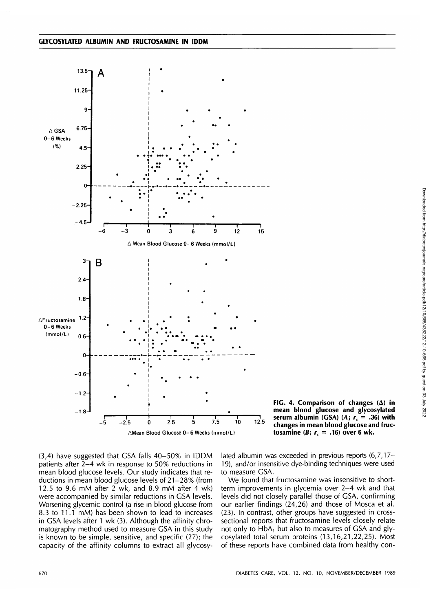

**FIG. 4. Comparison of changes (A) in mean blood glucose and glycosylated serum albumin (GSA)** (A;  $r_s = .36$ ) with **changes in mean blood glucose and fructosamine** (B;  $r_s = .16$ ) over 6 wk.

(3,4) have suggested that GSA falls 40-50% in IDDM patients after 2-4 wk in response to 50% reductions in mean blood glucose levels. Our study indicates that reductions in mean blood glucose levels of 21-28% (from 12.5 to 9.6 mM after  $2$  wk, and 8.9 mM after 4 wk) were accompanied by similar reductions in GSA levels. Worsening glycemic control (a rise in blood glucose from 8.3 to 11.1 mM) has been shown to lead to increases in GSA levels after 1 wk (3). Although the affinity chromatography method used to measure GSA in this study is known to be simple, sensitive, and specific (27); the capacity of the affinity columns to extract all glycosylated albumin was exceeded in previous reports (6,7,17- 19), and/or insensitive dye-binding techniques were used to measure GSA.

We found that fructosamine was insensitive to shortterm improvements in glycemia over 2-4 wk and that levels did not closely parallel those of GSA, confirming our earlier findings (24,26) and those of Mosca et al. (23). In contrast, other groups have suggested in crosssectional reports that fructosamine levels closely relate not only to HbA, but also to measures of GSA and glycosylated total serum proteins (13,16,21,22,25). Most of these reports have combined data from healthy con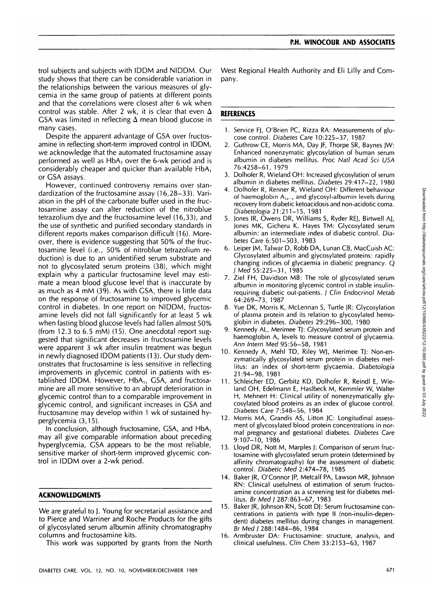trol subjects and subjects with IDDM and NIDDM. Our study shows that there can be considerable variation in the relationships between the various measures of glycemia in the same group of patients at different points and that the correlations were closest after 6 wk when control was stable. After 2 wk, it is clear that even  $\Delta$ GSA was limited in reflecting  $\Delta$  mean blood glucose in many cases.

Despite the apparent advantage of GSA over fructosamine in reflecting short-term improved control in IDDM, we acknowledge that the automated fructosamine assay performed as well as  $HbA_1$  over the 6-wk period and is considerably cheaper and quicker than available HbA, or GSA assays.

However, continued controversy remains over standardization of the fructosamine assay (16,28-33). Variation in the pH of the carbonate buffer used in the fructosamine assay can alter reduction of the nitroblue tetrazolium dye and the fructosamine level (16,33), and the use of synthetic and purified secondary standards in different reports makes comparison difficult (16). Moreover, there is evidence suggesting that 50% of the fructosamine level (i.e., 50% of nitroblue tetrazolium reduction) is due to an unidentified serum substrate and not to glycosylated serum proteins (38), which might explain why a particular fructosamine level may estimate a mean blood glucose level that is inaccurate by as much as 4 mM (39). As with GSA, there is little data on the response of fructosamine to improved glycemic control in diabetes. In one report on NIDDM, fructosamine levels did not fall significantly for at least 5 wk when fasting blood glucose levels had fallen almost 50% (from 12.3 to 6.5 mM) (15). One anecdotal report suggested that significant decreases in fructosamine levels were apparent 3 wk after insulin treatment was begun in newly diagnosed IDDM patients (13). Our study demonstrates that fructosamine is less sensitive in reflecting improvements in glycemic control in patients with established IDDM. However, HbA,, GSA, and fructosamine are all more sensitive to an abrupt deterioration in glycemic control than to a comparable improvement in glycemic control, and significant increases in GSA and fructosamine may develop within 1 wk of sustained hyperglycemia (3,15).

In conclusion, although fructosamine, GSA, and  $HbA<sub>1</sub>$ may all give comparable information about preceding hyperglycemia, GSA appears to be the most reliable, sensitive marker of short-term improved glycemic control in IDDM over a 2-wk period.

## **ACKNOWLEDGMENTS**

We are grateful to J. Young for secretarial assistance and to Pierce and Warriner and Roche Products for the gifts of glycosylated serum albumin affinity chromatography columns and fructosamine kits.

This work was supported by grants from the North

West Regional Health Authority and Eli Lilly and Company.

## **REFERENCES**

- 1. Service FJ, O'Brien PC, Rizza RA: Measurements of glucose control. Diabetes Care 10:225-37, 1987
- 2. Guthrow CE, Morris MA, Day JF, Thorpe SR, Baynes JW: Enhanced nonenzymatic glycosylation of human serum albumin in diabetes mellitus. Proc Natl Acad Sci USA 76:4258-61, 1979
- 3. Dolhofer R, Wieland OH: Increased glycosylation of serum albumin in diabetes mellitus. Diabetes 29:417-22, 1980
- 4. Dolhofer R, Renner R, Wieland OH: Different behaviour of haemoglobin  $A_{1a-c}$  and glycosyl-albumin levels during recovery from diabetic ketoacidosis and non-acidotic coma. Diabetologia 21:211-15, 1981
- 5. Jones IR, Owens DR, Williams S, Ryder REJ, Birtwell AJ, Jones MK, Gicheru K, Hayes TM: Glycosylated serum albumin: an intermediate index of diabetic control. Diabetes Care 6:501-503, 1983
- 6. Leiper JM, Talwar D, Robb DA, Lunan CB, MacCuish AC: Glycosylated albumin and glycosylated proteins: rapidly changing indices of glycaemia in diabetic pregnancy. Q I Med 55:225-31, 1985
- 7. Ziel FH, Davidson MB: The role of glycosylated serum albumin in monitoring glycemic control in stable insulinrequiring diabetic out-patients. J Clin Endocrinol Metab 64:269-73, 1987
- 8. Yue DK, Morris K, McLennan S, Turtle JR: Glycosylation of plasma protein and its relation to glycosylated hemoglobin in diabetes. Diabetes 29:296-300, 1980
- 9. Kennedy AL, Merimee TJ: Glycosylated serum protein and haemoglobin A, levels to measure control of glycaemia. Ann Intern Med 95:56-58, 1981
- 10. Kennedy A, Mehl TD, Riley WJ, Merimee TJ: Non-enzymatically glycosylated serum protein in diabetes mellitus: an index of short-term glycaemia. Diabetologia 21:94-98, 1981
- 11. Schleicher ED, Gerbitz KD, Dolhofer R, Reindl E, Wieland OH, Edelmann E, Haslbeck M, Kemmler W, Walter H, Mehnert H: Clinical utility of nonenzymatically glycosylated blood proteins as an index of glucose control. Diabetes Care 7:548-56, 1984
- 12. Morris MA, Grandis AS, Litton JC: Longitudinal assessment of glycosylated blood protein concentrations in normal pregnancy and gestational diabetes. Diabetes Care 9:107-10, 1986
- 13. Lloyd DR, Nott M, Marples J: Comparison of serum fructosamine with glycosylated serum protein (determined by affinity chromatography) for the assessment of diabetic control. Diabetic Med 2:474-78, 1985
- 14. Baker JR, O'Connor JP, Metcalf PA, Lawson MR, Johnson RN: Clinical usefulness of estimation of serum fructosamine concentration as a screening test for diabetes mellitus. Br Med I 287:863-67, 1983
- 15. Baker JR, Johnson RN, Scott DJ: Serum fructosamine concentrations in patients with type II (non-insulin-dependent) diabetes mellitus during changes in management. Br Med I 288:1484-86, 1984
- 16. Armbruster DA: Fructosamine: structure, analysis, and clinical usefulness. Clin Chem 33:2153-63, 1987